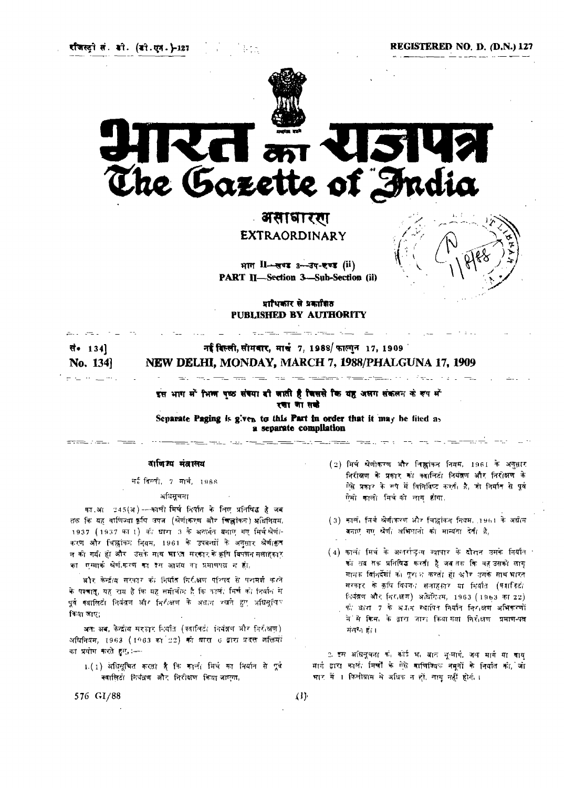रणिस्ट्री सं. डो. (डो.एन.}-127

**REGISTERED NO. D. (D.N.) 127**



# **The Gazette of India**

# असाबाररग EXTRAORDINARY

भाग II-सण्ड 3-उप-एण्ड (ii) **PART II—Section 3—Sub-Section (ii)**

प्राधिकार से प्रकाशित **PUBLISHED BY AUTHORITY**

e la veza desenvelo de la constantidad.

### नई बिल्ली, सोमवार, मार्च 7, 1988/ फाल्गुन 17, 1909 सं• 134] No. 134] NEW DELHI, MONDAY, MARCH 7, 1988/PHALGUNA 17, 1909

इस भाग में भिष्म पष्ठ संख्या बी जाती है जिससे कि यह अलग संकलन के रूप में रचाणासको

<u>.</u><br>20<del>01</del> - Paul Carl Paul Production Paul Co

**Separate Paging is given to this Part in order that it may be filed as a separate compilation**

## वाणिज्य मंत्रालय

मई विल्ली, 7 मार्च, 1988

### अधिसूचना

का.आ 245(अ) ---काली मिर्च निर्यात के लिए प्रतिषि<mark>द्ध है जब</mark> तक कि यह वाणिज्या कृषि उपज (श्रेणं(करण और चिल्लांकन) अधिनियम, 1937 (1937 का 1) की धारा 3 के अस्तर्गत बनाए गए मिर्चश्रेणी-करण और चिह्नांकन नियम, 1961 के उपवन्धों के अनुसार श्रेणीक्षत न की गर्या हो और उसके माथ भारत मरकार के कृषि विपणन सलाहकार का एम्मार्क श्रेणी-करण का देस आशय का प्रमाणपत्न न हो,

और केन्द्रीय सरकार की निर्यात निरीक्षण परिषद से परामर्श करते के पश्चात्, यह राय है कि यह समीचीन है कि कार्ल, मिर्च को निर्यान से पूर्व क्यालिटो नियंत्रण और निरीक्षण के अक्षान रखने हुए अधिसूचिए किया आए:

अतः अब, केन्द्रीय सरफार निर्यात (क्वालिटी नियंत्रण और निरीक्षण) अधिनियम, 1963 (1963 का 22) को बारा 6 द्वारा प्रदत्त अक्तियों का प्रयोग करते हुए, :----

1.(1) अधिमुचित करता है कि कार्ला मिर्च का निर्यात से पूर्व क्यालिटी नियंत्रण और निरीक्षण किया जाएगा,

- (2) मिर्च श्रेणीकरण और निष्ठ्वांकन नियम, 1961 के अनुसार निरीक्षण के प्रकार को क्वालिटी नियंत्रण और निरीक्षण के ऐसे प्रकार के रूप में विनिबिष्ट करती है, जो निर्मात से पूर्व ऐसी काली मिचको लाग होगा,
- (3) कार्ल, निर्भ श्रेणी(करण और चिह्नांकन नियम, 1961 के अधीन बनाए गए श्रेणी अभिशानों को मान्यता देती है,
- $(4)$  काली मिर्च के अन्तर्राष्ट्रीय व्यापार के दौरान उसके निर्यात । को तब सक प्रतिषिद्ध करती है जब तक कि वह उसको लाग् मानक विनिर्देशों को पूरा थ करती हो और उसके साथ भारत सरकार के कृषि विषयत सलाहकार या निर्वात (क्यानिटो नियंत्रण और निरक्षण) अधिनियम, 1963 (1963 का 22) को बारा 7 के अप्रत स्थापित निर्यात निराक्षण अभिकरणों में से किस, के द्वारा जारा किया गया निरोधण प्रमाण-पक्ष संलग्न हो ।

2. इस अधिनूचना के अंगई भ, बात भू-मार्ग, जल मार्ग या वाय मार्ग द्वारा कालं, मिर्चों के ऐसे वाणिज्यिक नमनों के निर्यात को, जो भार में । किलोग्राम में अधिक न हों, लागू नहीं होगे, ।

**576 GI/88 (1)**

<u>erandistanti</u>